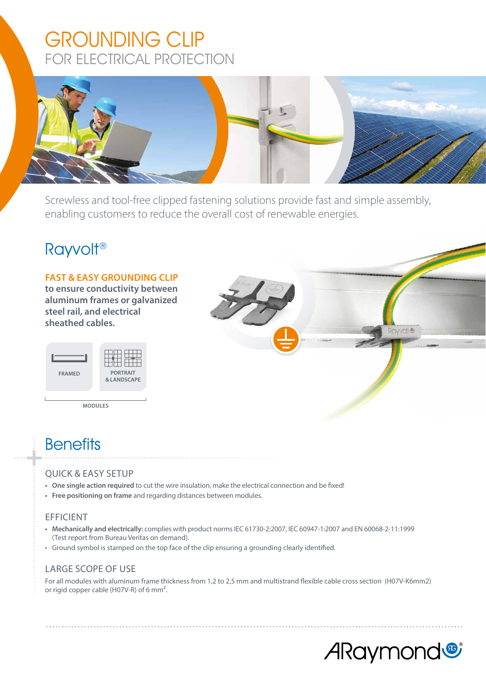# GROUNDING CLIP FOR ELECTRICAL PROTECTION



Screwless and tool-free clipped fastening solutions provide fast and simple assembly, enabling customers to reduce the overall cost of renewable energies.

## Rayvolt®

#### **FAST & EASY GROUNDING CLIP**

**to ensure conductivity between aluminum frames or galvanized steel rail, and electrical sheathed cables.**

| <b>FRAMED</b> | <b>PORTRAIT</b><br><b>&amp; LANDSCAPE</b> |
|---------------|-------------------------------------------|

**MODULES**



## **Benefits**

### QUICK & EASY SETUP

- **• One single action required** to cut the wire insulation, make the electrical connection and be fixed!
- **• Free positioning on frame** and regarding distances between modules.

#### EFFICIENT

- **• Mechanically and electrically:** complies with product norms IEC 61730-2:2007, IEC 60947-1:2007 and EN 60068-2-11:1999 (Test report from Bureau Veritas on demand).
- Ground symbol is stamped on the top face of the clip ensuring a grounding clearly identified.

#### LARGE SCOPE OF USE

For all modules with aluminum frame thickness from 1,2 to 2,5 mm and multistrand flexible cable cross section (H07V-K6mm2) or rigid copper cable (H07V-R) of 6 mm².